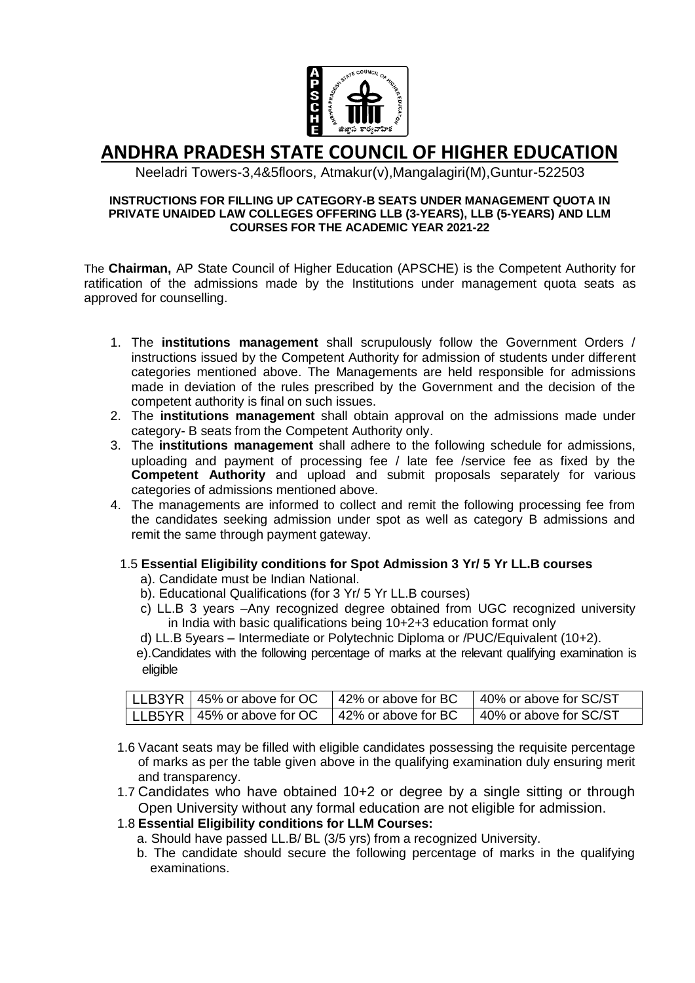

# **ANDHRA PRADESH STATE COUNCIL OF HIGHER EDUCATION**

Neeladri Towers-3,4&5floors, Atmakur(v),Mangalagiri(M),Guntur-522503

#### **INSTRUCTIONS FOR FILLING UP CATEGORY-B SEATS UNDER MANAGEMENT QUOTA IN PRIVATE UNAIDED LAW COLLEGES OFFERING LLB (3-YEARS), LLB (5-YEARS) AND LLM COURSES FOR THE ACADEMIC YEAR 2021-22**

The **Chairman,** AP State Council of Higher Education (APSCHE) is the Competent Authority for ratification of the admissions made by the Institutions under management quota seats as approved for counselling.

- 1. The **institutions management** shall scrupulously follow the Government Orders / instructions issued by the Competent Authority for admission of students under different categories mentioned above. The Managements are held responsible for admissions made in deviation of the rules prescribed by the Government and the decision of the competent authority is final on such issues.
- 2. The **institutions management** shall obtain approval on the admissions made under category- B seats from the Competent Authority only.
- 3. The **institutions management** shall adhere to the following schedule for admissions, uploading and payment of processing fee / late fee /service fee as fixed by the **Competent Authority** and upload and submit proposals separately for various categories of admissions mentioned above.
- 4. The managements are informed to collect and remit the following processing fee from the candidates seeking admission under spot as well as category B admissions and remit the same through payment gateway.

## 1.5 **Essential Eligibility conditions for Spot Admission 3 Yr/ 5 Yr LL.B courses**

- a). Candidate must be Indian National.
- b). Educational Qualifications (for 3 Yr/ 5 Yr LL.B courses)
- c) LL.B 3 years –Any recognized degree obtained from UGC recognized university in India with basic qualifications being 10+2+3 education format only
- d) LL.B 5years Intermediate or Polytechnic Diploma or /PUC/Equivalent (10+2).

 e).Candidates with the following percentage of marks at the relevant qualifying examination is eligible

| LLB3YR   45% or above for OC | 42% or above for BC | 40% or above for SC/ST |
|------------------------------|---------------------|------------------------|
| LLB5YR   45% or above for OC | 42% or above for BC | 40% or above for SC/ST |

- 1.6 Vacant seats may be filled with eligible candidates possessing the requisite percentage of marks as per the table given above in the qualifying examination duly ensuring merit and transparency.
- 1.7 Candidates who have obtained 10+2 or degree by a single sitting or through Open University without any formal education are not eligible for admission.

## 1.8 **Essential Eligibility conditions for LLM Courses:**

- a. Should have passed LL.B/ BL (3/5 yrs) from a recognized University.
- b. The candidate should secure the following percentage of marks in the qualifying examinations.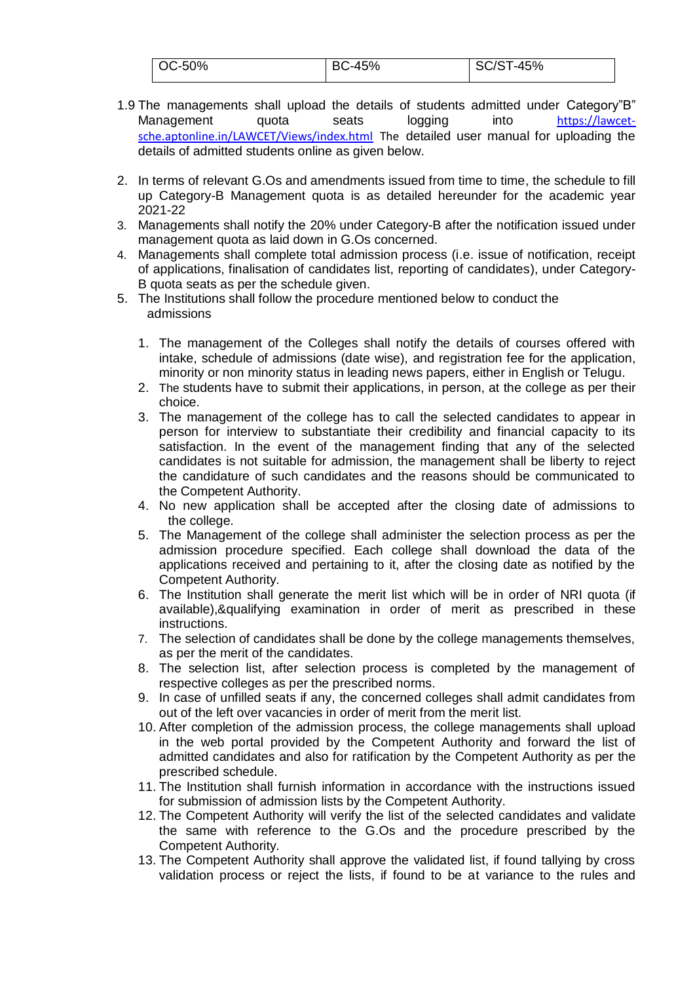| $\sim$ 0C-50% | <b>BC-45%</b> | SC/ST-45% |
|---------------|---------------|-----------|
|               |               |           |

- 1.9 The managements shall upload the details of students admitted under Category"B" Management quota seats logging into [https://lawcet](https://lawcet-sche.aptonline.in/LAWCET/Views/index.html)[sche.aptonline.in/LAWCET/Views/index.html](https://lawcet-sche.aptonline.in/LAWCET/Views/index.html) The detailed user manual for uploading the details of admitted students online as given below.
- 2. In terms of relevant G.Os and amendments issued from time to time, the schedule to fill up Category-B Management quota is as detailed hereunder for the academic year 2021-22
- 3. Managements shall notify the 20% under Category-B after the notification issued under management quota as laid down in G.Os concerned.
- 4. Managements shall complete total admission process (i.e. issue of notification, receipt of applications, finalisation of candidates list, reporting of candidates), under Category-B quota seats as per the schedule given.
- 5. The Institutions shall follow the procedure mentioned below to conduct the admissions
	- 1. The management of the Colleges shall notify the details of courses offered with intake, schedule of admissions (date wise), and registration fee for the application, minority or non minority status in leading news papers, either in English or Telugu.
	- 2. The students have to submit their applications, in person, at the college as per their choice.
	- 3. The management of the college has to call the selected candidates to appear in person for interview to substantiate their credibility and financial capacity to its satisfaction. In the event of the management finding that any of the selected candidates is not suitable for admission, the management shall be liberty to reject the candidature of such candidates and the reasons should be communicated to the Competent Authority.
	- 4. No new application shall be accepted after the closing date of admissions to the college.
	- 5. The Management of the college shall administer the selection process as per the admission procedure specified. Each college shall download the data of the applications received and pertaining to it, after the closing date as notified by the Competent Authority.
	- 6. The Institution shall generate the merit list which will be in order of NRI quota (if available),&qualifying examination in order of merit as prescribed in these instructions.
	- 7. The selection of candidates shall be done by the college managements themselves, as per the merit of the candidates.
	- 8. The selection list, after selection process is completed by the management of respective colleges as per the prescribed norms.
	- 9. In case of unfilled seats if any, the concerned colleges shall admit candidates from out of the left over vacancies in order of merit from the merit list.
	- 10. After completion of the admission process, the college managements shall upload in the web portal provided by the Competent Authority and forward the list of admitted candidates and also for ratification by the Competent Authority as per the prescribed schedule.
	- 11. The Institution shall furnish information in accordance with the instructions issued for submission of admission lists by the Competent Authority.
	- 12. The Competent Authority will verify the list of the selected candidates and validate the same with reference to the G.Os and the procedure prescribed by the Competent Authority.
	- 13. The Competent Authority shall approve the validated list, if found tallying by cross validation process or reject the lists, if found to be at variance to the rules and